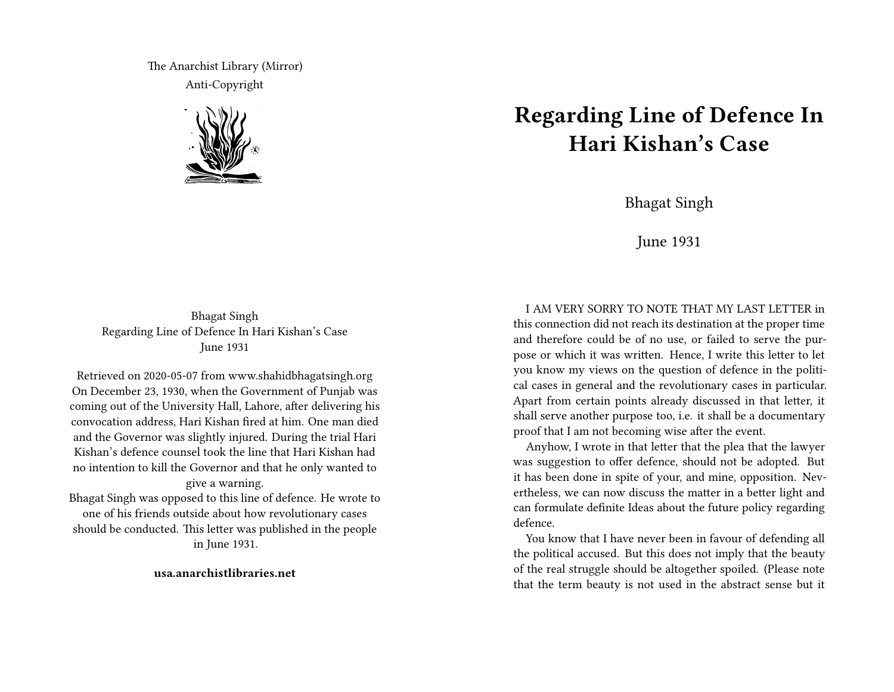The Anarchist Library (Mirror) Anti-Copyright



## **Regarding Line of Defence In Hari Kishan's Case**

Bhagat Singh

June 1931

Bhagat Singh Regarding Line of Defence In Hari Kishan's Case June 1931

Retrieved on 2020-05-07 from www.shahidbhagatsingh.org On December 23, 1930, when the Government of Punjab was coming out of the University Hall, Lahore, after delivering his convocation address, Hari Kishan fired at him. One man died and the Governor was slightly injured. During the trial Hari Kishan's defence counsel took the line that Hari Kishan had no intention to kill the Governor and that he only wanted to give a warning.

Bhagat Singh was opposed to this line of defence. He wrote to one of his friends outside about how revolutionary cases should be conducted. This letter was published in the people in June 1931.

## **usa.anarchistlibraries.net**

I AM VERY SORRY TO NOTE THAT MY LAST LETTER in this connection did not reach its destination at the proper time and therefore could be of no use, or failed to serve the purpose or which it was written. Hence, I write this letter to let you know my views on the question of defence in the political cases in general and the revolutionary cases in particular. Apart from certain points already discussed in that letter, it shall serve another purpose too, i.e. it shall be a documentary proof that I am not becoming wise after the event.

Anyhow, I wrote in that letter that the plea that the lawyer was suggestion to offer defence, should not be adopted. But it has been done in spite of your, and mine, opposition. Nevertheless, we can now discuss the matter in a better light and can formulate definite Ideas about the future policy regarding defence.

You know that I have never been in favour of defending all the political accused. But this does not imply that the beauty of the real struggle should be altogether spoiled. (Please note that the term beauty is not used in the abstract sense but it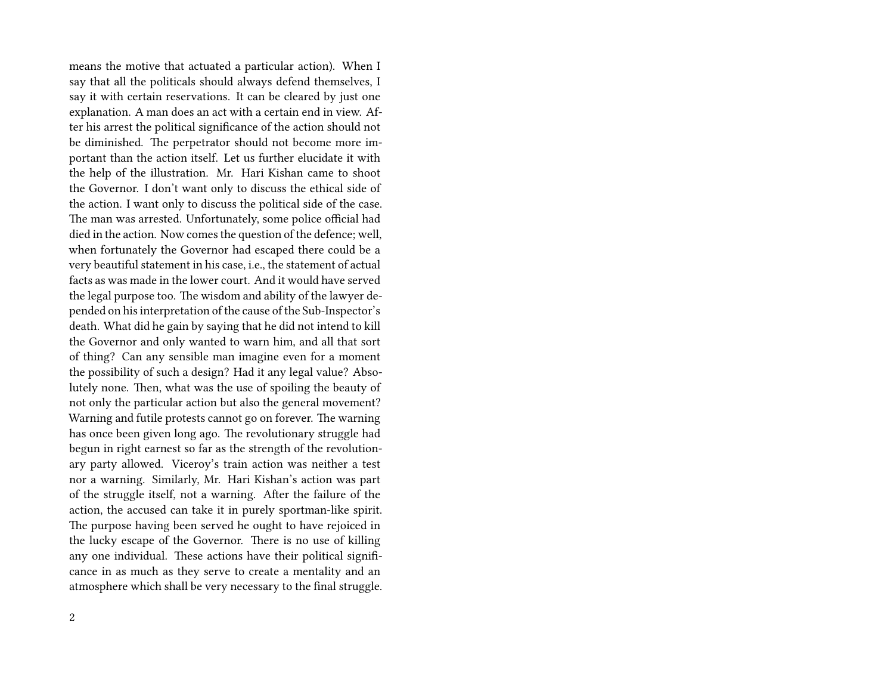means the motive that actuated a particular action). When I say that all the politicals should always defend themselves, I say it with certain reservations. It can be cleared by just one explanation. A man does an act with a certain end in view. After his arrest the political significance of the action should not be diminished. The perpetrator should not become more important than the action itself. Let us further elucidate it with the help of the illustration. Mr. Hari Kishan came to shoot the Governor. I don't want only to discuss the ethical side of the action. I want only to discuss the political side of the case. The man was arrested. Unfortunately, some police official had died in the action. Now comes the question of the defence; well, when fortunately the Governor had escaped there could be a very beautiful statement in his case, i.e., the statement of actual facts as was made in the lower court. And it would have served the legal purpose too. The wisdom and ability of the lawyer depended on his interpretation of the cause of the Sub-Inspector's death. What did he gain by saying that he did not intend to kill the Governor and only wanted to warn him, and all that sort of thing? Can any sensible man imagine even for a moment the possibility of such a design? Had it any legal value? Absolutely none. Then, what was the use of spoiling the beauty of not only the particular action but also the general movement? Warning and futile protests cannot go on forever. The warning has once been given long ago. The revolutionary struggle had begun in right earnest so far as the strength of the revolutionary party allowed. Viceroy's train action was neither a test nor a warning. Similarly, Mr. Hari Kishan's action was part of the struggle itself, not a warning. After the failure of the action, the accused can take it in purely sportman-like spirit. The purpose having been served he ought to have rejoiced in the lucky escape of the Governor. There is no use of killing any one individual. These actions have their political significance in as much as they serve to create a mentality and an atmosphere which shall be very necessary to the final struggle.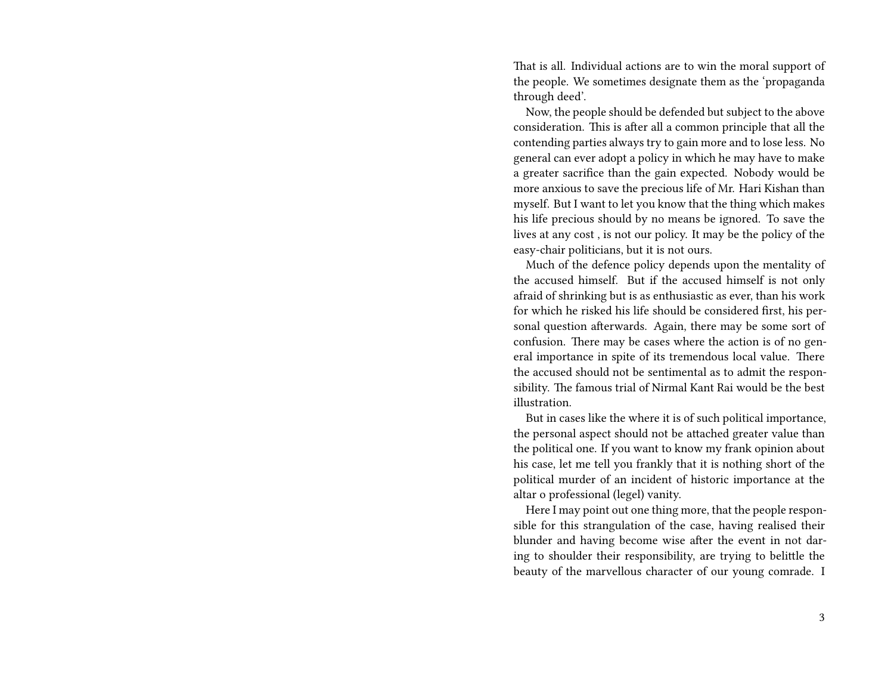That is all. Individual actions are to win the moral support of the people. We sometimes designate them as the 'propaganda through deed'.

Now, the people should be defended but subject to the above consideration. This is after all a common principle that all the contending parties always try to gain more and to lose less. No general can ever adopt a policy in which he may have to make a greater sacrifice than the gain expected. Nobody would be more anxious to save the precious life of Mr. Hari Kishan than myself. But I want to let you know that the thing which makes his life precious should by no means be ignored. To save the lives at any cost , is not our policy. It may be the policy of the easy-chair politicians, but it is not ours.

Much of the defence policy depends upon the mentality of the accused himself. But if the accused himself is not only afraid of shrinking but is as enthusiastic as ever, than his work for which he risked his life should be considered first, his personal question afterwards. Again, there may be some sort of confusion. There may be cases where the action is of no general importance in spite of its tremendous local value. There the accused should not be sentimental as to admit the responsibility. The famous trial of Nirmal Kant Rai would be the best illustration.

But in cases like the where it is of such political importance, the personal aspect should not be attached greater value than the political one. If you want to know my frank opinion about his case, let me tell you frankly that it is nothing short of the political murder of an incident of historic importance at the altar o professional (legel) vanity.

Here I may point out one thing more, that the people responsible for this strangulation of the case, having realised their blunder and having become wise after the event in not daring to shoulder their responsibility, are trying to belittle the beauty of the marvellous character of our young comrade. I